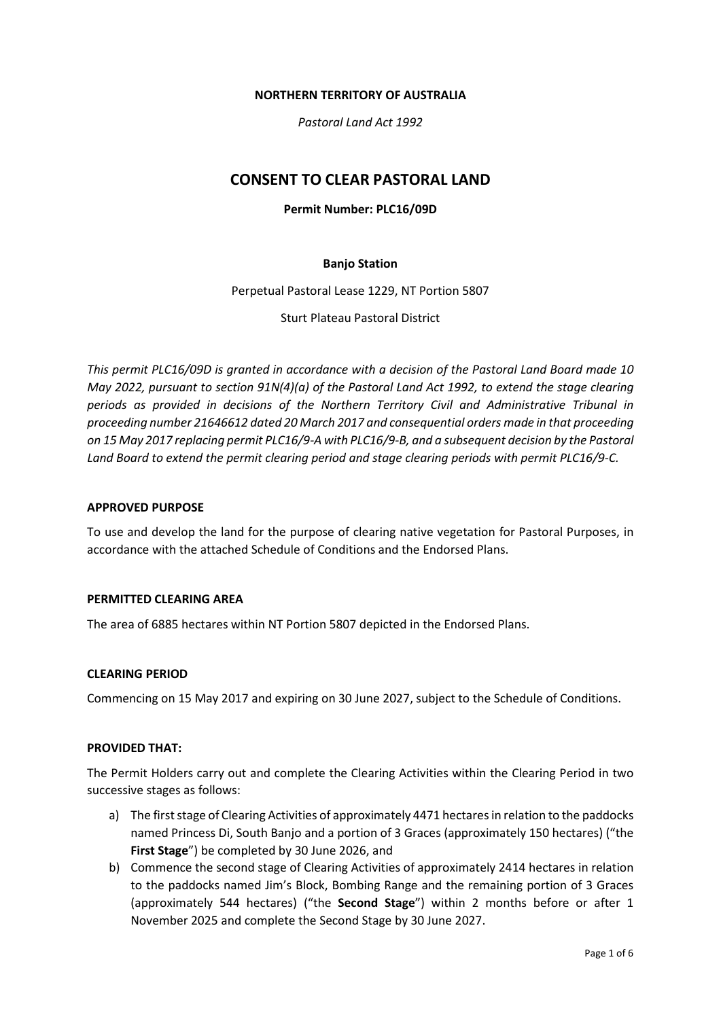#### **NORTHERN TERRITORY OF AUSTRALIA**

*Pastoral Land Act 1992*

# **CONSENT TO CLEAR PASTORAL LAND**

# **Permit Number: PLC16/09D**

## **Banjo Station**

Perpetual Pastoral Lease 1229, NT Portion 5807

Sturt Plateau Pastoral District

*This permit PLC16/09D is granted in accordance with a decision of the Pastoral Land Board made 10 May 2022, pursuant to section 91N(4)(a) of the Pastoral Land Act 1992, to extend the stage clearing periods as provided in decisions of the Northern Territory Civil and Administrative Tribunal in proceeding number 21646612 dated 20 March 2017 and consequential orders made in that proceeding on 15 May 2017 replacing permit PLC16/9-A with PLC16/9-B, and a subsequent decision by the Pastoral Land Board to extend the permit clearing period and stage clearing periods with permit PLC16/9-C.*

### **APPROVED PURPOSE**

To use and develop the land for the purpose of clearing native vegetation for Pastoral Purposes, in accordance with the attached Schedule of Conditions and the Endorsed Plans.

## **PERMITTED CLEARING AREA**

The area of 6885 hectares within NT Portion 5807 depicted in the Endorsed Plans.

#### **CLEARING PERIOD**

Commencing on 15 May 2017 and expiring on 30 June 2027, subject to the Schedule of Conditions.

## **PROVIDED THAT:**

The Permit Holders carry out and complete the Clearing Activities within the Clearing Period in two successive stages as follows:

- a) The first stage of Clearing Activities of approximately 4471 hectares in relation to the paddocks named Princess Di, South Banjo and a portion of 3 Graces (approximately 150 hectares) ("the **First Stage**") be completed by 30 June 2026, and
- b) Commence the second stage of Clearing Activities of approximately 2414 hectares in relation to the paddocks named Jim's Block, Bombing Range and the remaining portion of 3 Graces (approximately 544 hectares) ("the **Second Stage**") within 2 months before or after 1 November 2025 and complete the Second Stage by 30 June 2027.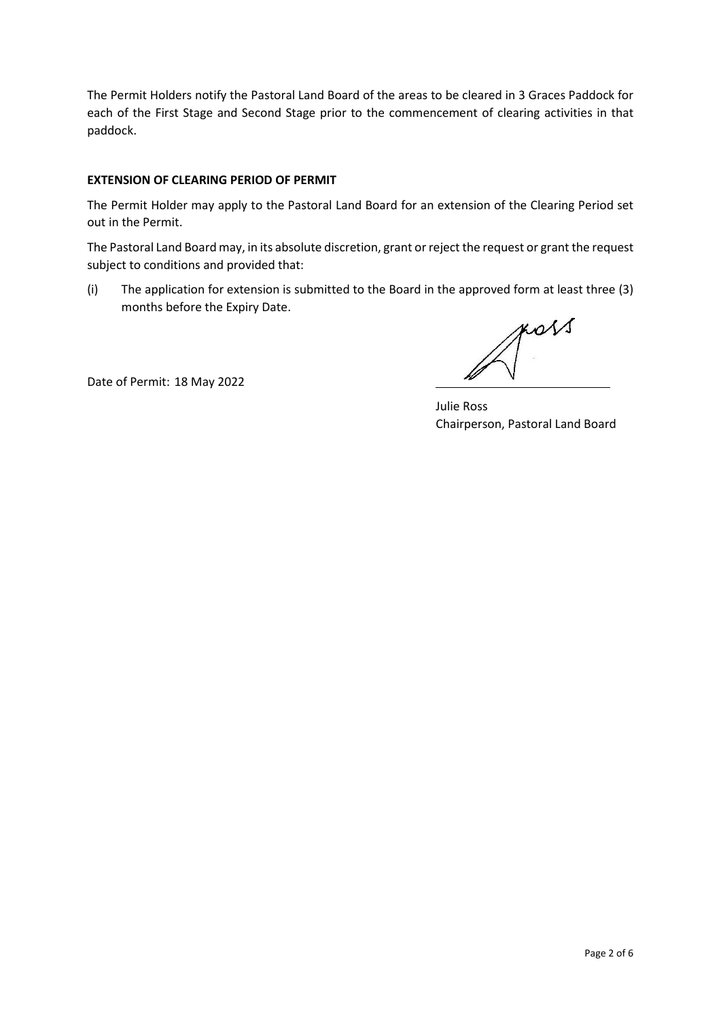The Permit Holders notify the Pastoral Land Board of the areas to be cleared in 3 Graces Paddock for each of the First Stage and Second Stage prior to the commencement of clearing activities in that paddock.

## **EXTENSION OF CLEARING PERIOD OF PERMIT**

The Permit Holder may apply to the Pastoral Land Board for an extension of the Clearing Period set out in the Permit.

The Pastoral Land Board may, in its absolute discretion, grant or reject the request or grant the request subject to conditions and provided that:

(i) The application for extension is submitted to the Board in the approved form at least three (3) months before the Expiry Date.

Date of Permit: 18 May 2022

poss

 Julie Ross Chairperson, Pastoral Land Board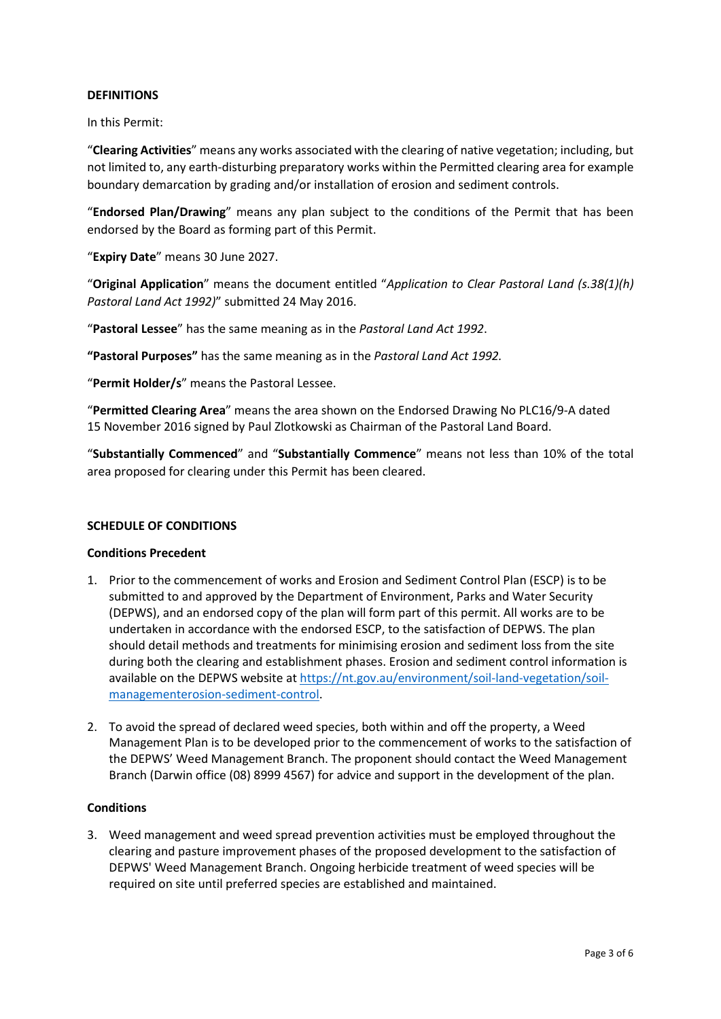### **DEFINITIONS**

In this Permit:

"**Clearing Activities**" means any works associated with the clearing of native vegetation; including, but not limited to, any earth-disturbing preparatory works within the Permitted clearing area for example boundary demarcation by grading and/or installation of erosion and sediment controls.

"**Endorsed Plan/Drawing**" means any plan subject to the conditions of the Permit that has been endorsed by the Board as forming part of this Permit.

"**Expiry Date**" means 30 June 2027.

"**Original Application**" means the document entitled "*Application to Clear Pastoral Land (s.38(1)(h) Pastoral Land Act 1992)*" submitted 24 May 2016.

"**Pastoral Lessee**" has the same meaning as in the *Pastoral Land Act 1992*.

**"Pastoral Purposes"** has the same meaning as in the *Pastoral Land Act 1992.*

"**Permit Holder/s**" means the Pastoral Lessee.

"**Permitted Clearing Area**" means the area shown on the Endorsed Drawing No PLC16/9-A dated 15 November 2016 signed by Paul Zlotkowski as Chairman of the Pastoral Land Board.

"**Substantially Commenced**" and "**Substantially Commence**" means not less than 10% of the total area proposed for clearing under this Permit has been cleared.

#### **SCHEDULE OF CONDITIONS**

#### **Conditions Precedent**

- 1. Prior to the commencement of works and Erosion and Sediment Control Plan (ESCP) is to be submitted to and approved by the Department of Environment, Parks and Water Security (DEPWS), and an endorsed copy of the plan will form part of this permit. All works are to be undertaken in accordance with the endorsed ESCP, to the satisfaction of DEPWS. The plan should detail methods and treatments for minimising erosion and sediment loss from the site during both the clearing and establishment phases. Erosion and sediment control information is available on the DEPWS website at [https://nt.gov.au/environment/soil-land-vegetation/soil](https://nt.gov.au/environment/soil-land-vegetation/soil-managementerosion-sediment-control)[managementerosion-sediment-control.](https://nt.gov.au/environment/soil-land-vegetation/soil-managementerosion-sediment-control)
- 2. To avoid the spread of declared weed species, both within and off the property, a Weed Management Plan is to be developed prior to the commencement of works to the satisfaction of the DEPWS' Weed Management Branch. The proponent should contact the Weed Management Branch (Darwin office (08) 8999 4567) for advice and support in the development of the plan.

#### **Conditions**

3. Weed management and weed spread prevention activities must be employed throughout the clearing and pasture improvement phases of the proposed development to the satisfaction of DEPWS' Weed Management Branch. Ongoing herbicide treatment of weed species will be required on site until preferred species are established and maintained.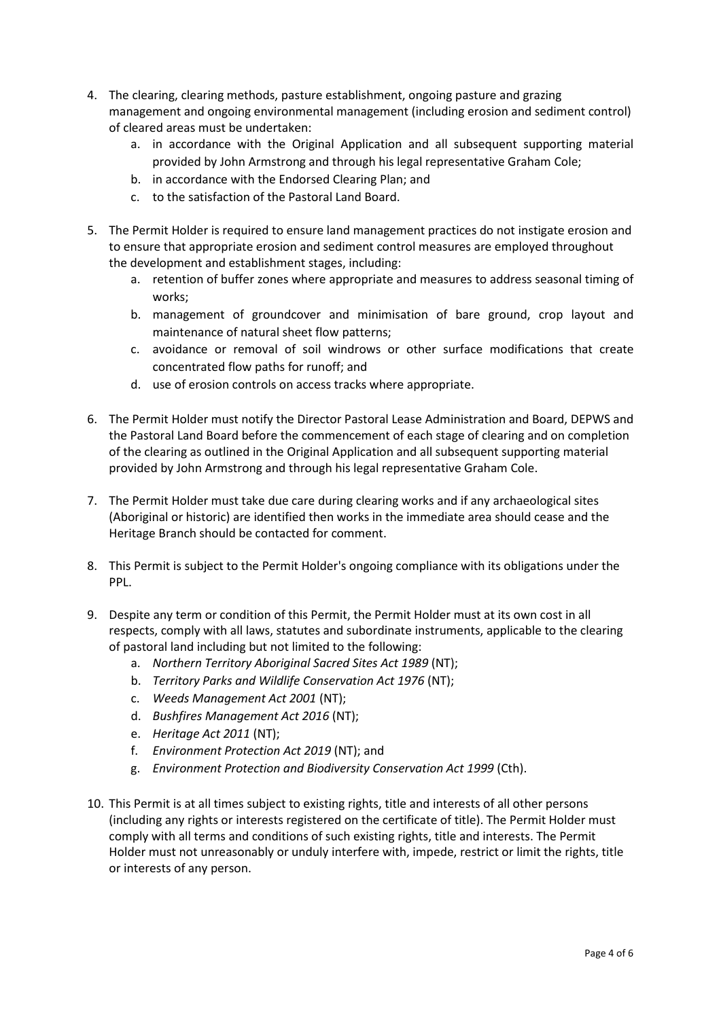- 4. The clearing, clearing methods, pasture establishment, ongoing pasture and grazing management and ongoing environmental management (including erosion and sediment control) of cleared areas must be undertaken:
	- a. in accordance with the Original Application and all subsequent supporting material provided by John Armstrong and through his legal representative Graham Cole;
	- b. in accordance with the Endorsed Clearing Plan; and
	- c. to the satisfaction of the Pastoral Land Board.
- 5. The Permit Holder is required to ensure land management practices do not instigate erosion and to ensure that appropriate erosion and sediment control measures are employed throughout the development and establishment stages, including:
	- a. retention of buffer zones where appropriate and measures to address seasonal timing of works;
	- b. management of groundcover and minimisation of bare ground, crop layout and maintenance of natural sheet flow patterns;
	- c. avoidance or removal of soil windrows or other surface modifications that create concentrated flow paths for runoff; and
	- d. use of erosion controls on access tracks where appropriate.
- 6. The Permit Holder must notify the Director Pastoral Lease Administration and Board, DEPWS and the Pastoral Land Board before the commencement of each stage of clearing and on completion of the clearing as outlined in the Original Application and all subsequent supporting material provided by John Armstrong and through his legal representative Graham Cole.
- 7. The Permit Holder must take due care during clearing works and if any archaeological sites (Aboriginal or historic) are identified then works in the immediate area should cease and the Heritage Branch should be contacted for comment.
- 8. This Permit is subject to the Permit Holder's ongoing compliance with its obligations under the PPL.
- 9. Despite any term or condition of this Permit, the Permit Holder must at its own cost in all respects, comply with all laws, statutes and subordinate instruments, applicable to the clearing of pastoral land including but not limited to the following:
	- a. *Northern Territory Aboriginal Sacred Sites Act 1989* (NT);
	- b. *Territory Parks and Wildlife Conservation Act 1976* (NT);
	- c. *Weeds Management Act 2001* (NT);
	- d. *Bushfires Management Act 2016* (NT);
	- e. *Heritage Act 2011* (NT);
	- f. *Environment Protection Act 2019* (NT); and
	- g. *Environment Protection and Biodiversity Conservation Act 1999* (Cth).
- 10. This Permit is at all times subject to existing rights, title and interests of all other persons (including any rights or interests registered on the certificate of title). The Permit Holder must comply with all terms and conditions of such existing rights, title and interests. The Permit Holder must not unreasonably or unduly interfere with, impede, restrict or limit the rights, title or interests of any person.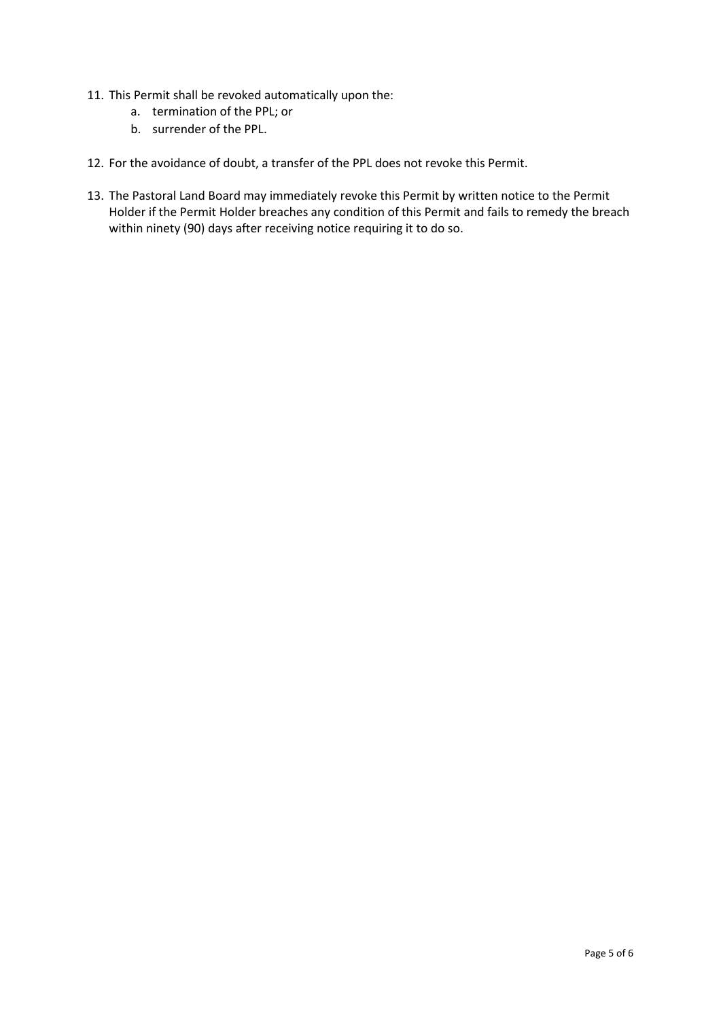- 11. This Permit shall be revoked automatically upon the:
	- a. termination of the PPL; or
	- b. surrender of the PPL.
- 12. For the avoidance of doubt, a transfer of the PPL does not revoke this Permit.
- 13. The Pastoral Land Board may immediately revoke this Permit by written notice to the Permit Holder if the Permit Holder breaches any condition of this Permit and fails to remedy the breach within ninety (90) days after receiving notice requiring it to do so.